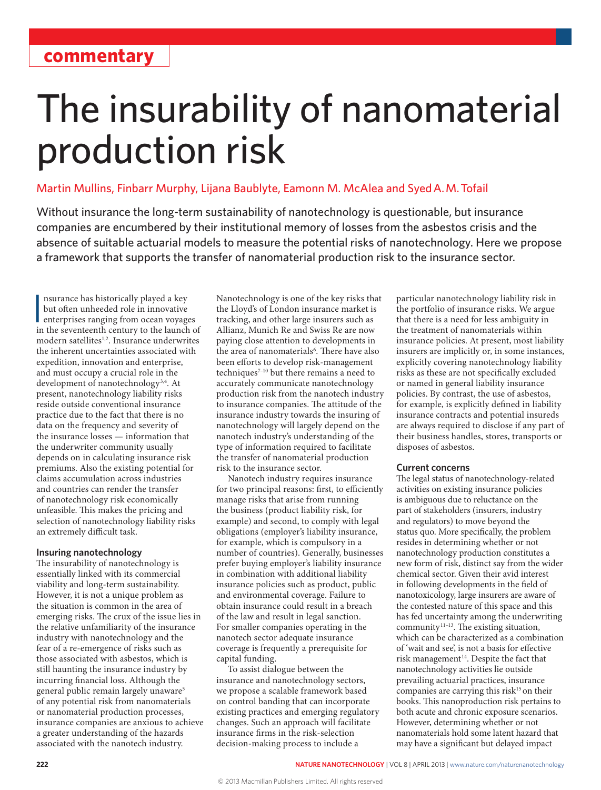# The insurability of nanomaterial production risk

## Martin Mullins, Finbarr Murphy, Lijana Baublyte, Eamonn M. McAlea and Syed A. M. Tofail

Without insurance the long-term sustainability of nanotechnology is questionable, but insurance companies are encumbered by their institutional memory of losses from the asbestos crisis and the absence of suitable actuarial models to measure the potential risks of nanotechnology. Here we propose a framework that supports the transfer of nanomaterial production risk to the insurance sector.

Insurance has historically played a key<br>but often unheeded role in innovative<br>enterprises ranging from ocean voyages<br>in the seventeenth century to the launch of nsurance has historically played a key but often unheeded role in innovative enterprises ranging from ocean voyages modern satellites<sup>1,2</sup>. Insurance underwrites the inherent uncertainties associated with expedition, innovation and enterprise, and must occupy a crucial role in the development of nanotechnology<sup>3,4</sup>. At present, nanotechnology liability risks reside outside conventional insurance practice due to the fact that there is no data on the frequency and severity of the insurance losses — information that the underwriter community usually depends on in calculating insurance risk premiums. Also the existing potential for claims accumulation across industries and countries can render the transfer of nanotechnology risk economically unfeasible. This makes the pricing and selection of nanotechnology liability risks an extremely difficult task.

## **Insuring nanotechnology**

The insurability of nanotechnology is essentially linked with its commercial viability and long-term sustainability. However, it is not a unique problem as the situation is common in the area of emerging risks. The crux of the issue lies in the relative unfamiliarity of the insurance industry with nanotechnology and the fear of a re-emergence of risks such as those associated with asbestos, which is still haunting the insurance industry by incurring financial loss. Although the general public remain largely unaware<sup>5</sup> of any potential risk from nanomaterials or nanomaterial production processes, insurance companies are anxious to achieve a greater understanding of the hazards associated with the nanotech industry.

Nanotechnology is one of the key risks that the Lloyd's of London insurance market is tracking, and other large insurers such as Allianz, Munich Re and Swiss Re are now paying close attention to developments in the area of nanomaterials<sup>6</sup>. There have also been efforts to develop risk-management techniques7–10 but there remains a need to accurately communicate nanotechnology production risk from the nanotech industry to insurance companies. The attitude of the insurance industry towards the insuring of nanotechnology will largely depend on the nanotech industry's understanding of the type of information required to facilitate the transfer of nanomaterial production risk to the insurance sector.

Nanotech industry requires insurance for two principal reasons: first, to efficiently manage risks that arise from running the business (product liability risk, for example) and second, to comply with legal obligations (employer's liability insurance, for example, which is compulsory in a number of countries). Generally, businesses prefer buying employer's liability insurance in combination with additional liability insurance policies such as product, public and environmental coverage. Failure to obtain insurance could result in a breach of the law and result in legal sanction. For smaller companies operating in the nanotech sector adequate insurance coverage is frequently a prerequisite for capital funding.

To assist dialogue between the insurance and nanotechnology sectors, we propose a scalable framework based on control banding that can incorporate existing practices and emerging regulatory changes. Such an approach will facilitate insurance firms in the risk-selection decision-making process to include a

particular nanotechnology liability risk in the portfolio of insurance risks. We argue that there is a need for less ambiguity in the treatment of nanomaterials within insurance policies. At present, most liability insurers are implicitly or, in some instances, explicitly covering nanotechnology liability risks as these are not specifically excluded or named in general liability insurance policies. By contrast, the use of asbestos, for example, is explicitly defined in liability insurance contracts and potential insureds are always required to disclose if any part of their business handles, stores, transports or disposes of asbestos.

## **Current concerns**

The legal status of nanotechnology-related activities on existing insurance policies is ambiguous due to reluctance on the part of stakeholders (insurers, industry and regulators) to move beyond the status quo. More specifically, the problem resides in determining whether or not nanotechnology production constitutes a new form of risk, distinct say from the wider chemical sector. Given their avid interest in following developments in the field of nanotoxicology, large insurers are aware of the contested nature of this space and this has fed uncertainty among the underwriting community $11-13$ . The existing situation, which can be characterized as a combination of 'wait and see', is not a basis for effective risk management<sup>14</sup>. Despite the fact that nanotechnology activities lie outside prevailing actuarial practices, insurance companies are carrying this risk<sup>15</sup> on their books. This nanoproduction risk pertains to both acute and chronic exposure scenarios. However, determining whether or not nanomaterials hold some latent hazard that may have a significant but delayed impact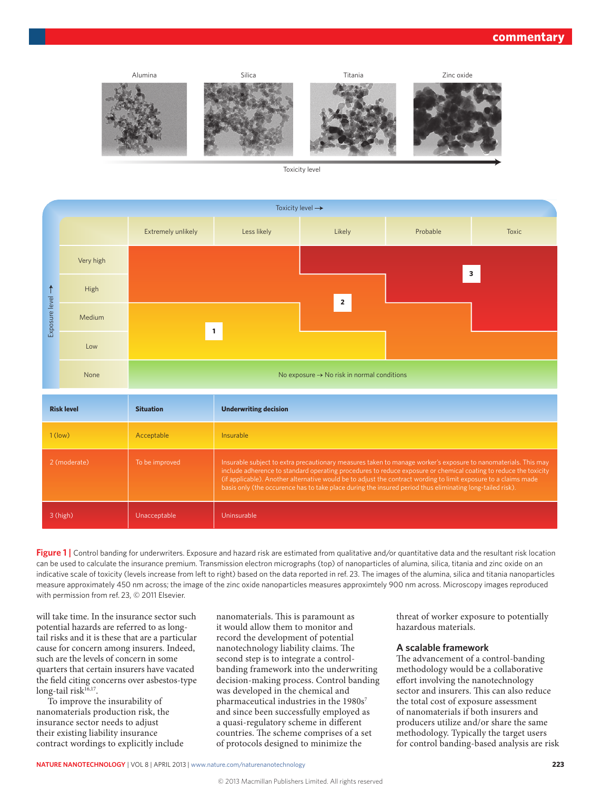

Toxicity level



**Figure 1** Control banding for underwriters. Exposure and hazard risk are estimated from qualitative and/or quantitative data and the resultant risk location can be used to calculate the insurance premium. Transmission electron micrographs (top) of nanoparticles of alumina, silica, titania and zinc oxide on an indicative scale of toxicity (levels increase from left to right) based on the data reported in ref. 23. The images of the alumina, silica and titania nanoparticles measure approximately 450 nm across; the image of the zinc oxide nanoparticles measures approximtely 900 nm across. Microscopy images reproduced with permission from ref. 23, © 2011 Elsevier.

will take time. In the insurance sector such potential hazards are referred to as longtail risks and it is these that are a particular cause for concern among insurers. Indeed, such are the levels of concern in some quarters that certain insurers have vacated the field citing concerns over asbestos-type long-tail risk<sup>16,17</sup>.

To improve the insurability of nanomaterials production risk, the insurance sector needs to adjust their existing liability insurance contract wordings to explicitly include nanomaterials. This is paramount as it would allow them to monitor and record the development of potential nanotechnology liability claims. The second step is to integrate a controlbanding framework into the underwriting decision-making process. Control banding was developed in the chemical and pharmaceutical industries in the 1980s<sup>7</sup> and since been successfully employed as a quasi-regulatory scheme in different countries. The scheme comprises of a set of protocols designed to minimize the

threat of worker exposure to potentially hazardous materials.

## **A scalable framework**

The advancement of a control-banding methodology would be a collaborative effort involving the nanotechnology sector and insurers. This can also reduce the total cost of exposure assessment of nanomaterials if both insurers and producers utilize and/or share the same methodology. Typically the target users for control banding-based analysis are risk